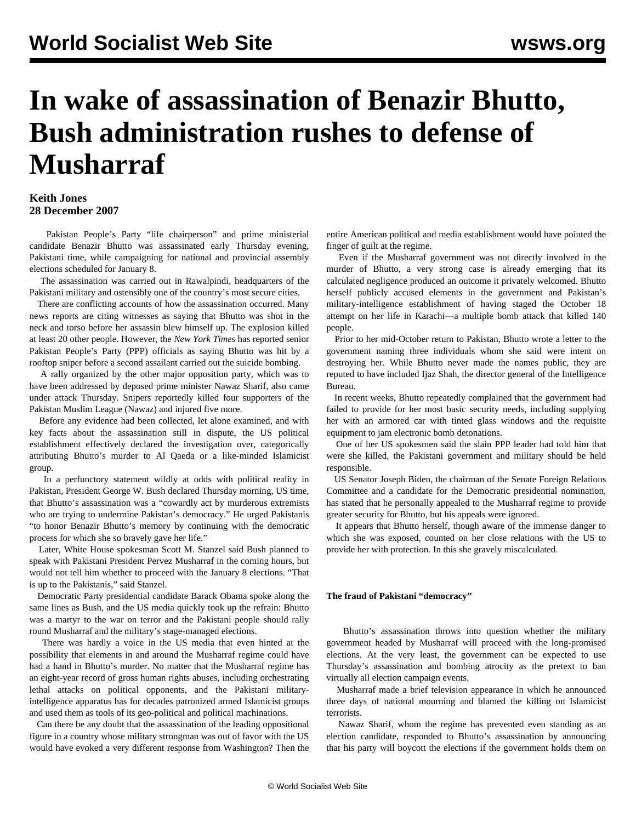# **In wake of assassination of Benazir Bhutto, Bush administration rushes to defense of Musharraf**

### **Keith Jones 28 December 2007**

 Pakistan People's Party "life chairperson" and prime ministerial candidate Benazir Bhutto was assassinated early Thursday evening, Pakistani time, while campaigning for national and provincial assembly elections scheduled for January 8.

 The assassination was carried out in Rawalpindi, headquarters of the Pakistani military and ostensibly one of the country's most secure cities.

 There are conflicting accounts of how the assassination occurred. Many news reports are citing witnesses as saying that Bhutto was shot in the neck and torso before her assassin blew himself up. The explosion killed at least 20 other people. However, the *New York Times* has reported senior Pakistan People's Party (PPP) officials as saying Bhutto was hit by a rooftop sniper before a second assailant carried out the suicide bombing.

 A rally organized by the other major opposition party, which was to have been addressed by deposed prime minister Nawaz Sharif, also came under attack Thursday. Snipers reportedly killed four supporters of the Pakistan Muslim League (Nawaz) and injured five more.

 Before any evidence had been collected, let alone examined, and with key facts about the assassination still in dispute, the US political establishment effectively declared the investigation over, categorically attributing Bhutto's murder to Al Qaeda or a like-minded Islamicist group.

 In a perfunctory statement wildly at odds with political reality in Pakistan, President George W. Bush declared Thursday morning, US time, that Bhutto's assassination was a "cowardly act by murderous extremists who are trying to undermine Pakistan's democracy." He urged Pakistanis "to honor Benazir Bhutto's memory by continuing with the democratic process for which she so bravely gave her life."

 Later, White House spokesman Scott M. Stanzel said Bush planned to speak with Pakistani President Pervez Musharraf in the coming hours, but would not tell him whether to proceed with the January 8 elections. "That is up to the Pakistanis," said Stanzel.

 Democratic Party presidential candidate Barack Obama spoke along the same lines as Bush, and the US media quickly took up the refrain: Bhutto was a martyr to the war on terror and the Pakistani people should rally round Musharraf and the military's stage-managed elections.

 There was hardly a voice in the US media that even hinted at the possibility that elements in and around the Musharraf regime could have had a hand in Bhutto's murder. No matter that the Musharraf regime has an eight-year record of gross human rights abuses, including orchestrating lethal attacks on political opponents, and the Pakistani militaryintelligence apparatus has for decades patronized armed Islamicist groups and used them as tools of its geo-political and political machinations.

 Can there be any doubt that the assassination of the leading oppositional figure in a country whose military strongman was out of favor with the US would have evoked a very different response from Washington? Then the entire American political and media establishment would have pointed the finger of guilt at the regime.

 Even if the Musharraf government was not directly involved in the murder of Bhutto, a very strong case is already emerging that its calculated negligence produced an outcome it privately welcomed. Bhutto herself publicly accused elements in the government and Pakistan's military-intelligence establishment of having staged the October 18 attempt on her life in Karachi—a multiple bomb attack that killed 140 people.

 Prior to her mid-October return to Pakistan, Bhutto wrote a letter to the government naming three individuals whom she said were intent on destroying her. While Bhutto never made the names public, they are reputed to have included Ijaz Shah, the director general of the Intelligence Bureau.

 In recent weeks, Bhutto repeatedly complained that the government had failed to provide for her most basic security needs, including supplying her with an armored car with tinted glass windows and the requisite equipment to jam electronic bomb detonations.

 One of her US spokesmen said the slain PPP leader had told him that were she killed, the Pakistani government and military should be held responsible.

 US Senator Joseph Biden, the chairman of the Senate Foreign Relations Committee and a candidate for the Democratic presidential nomination, has stated that he personally appealed to the Musharraf regime to provide greater security for Bhutto, but his appeals were ignored.

 It appears that Bhutto herself, though aware of the immense danger to which she was exposed, counted on her close relations with the US to provide her with protection. In this she gravely miscalculated.

#### **The fraud of Pakistani "democracy"**

 Bhutto's assassination throws into question whether the military government headed by Musharraf will proceed with the long-promised elections. At the very least, the government can be expected to use Thursday's assassination and bombing atrocity as the pretext to ban virtually all election campaign events.

 Musharraf made a brief television appearance in which he announced three days of national mourning and blamed the killing on Islamicist terrorists.

 Nawaz Sharif, whom the regime has prevented even standing as an election candidate, responded to Bhutto's assassination by announcing that his party will boycott the elections if the government holds them on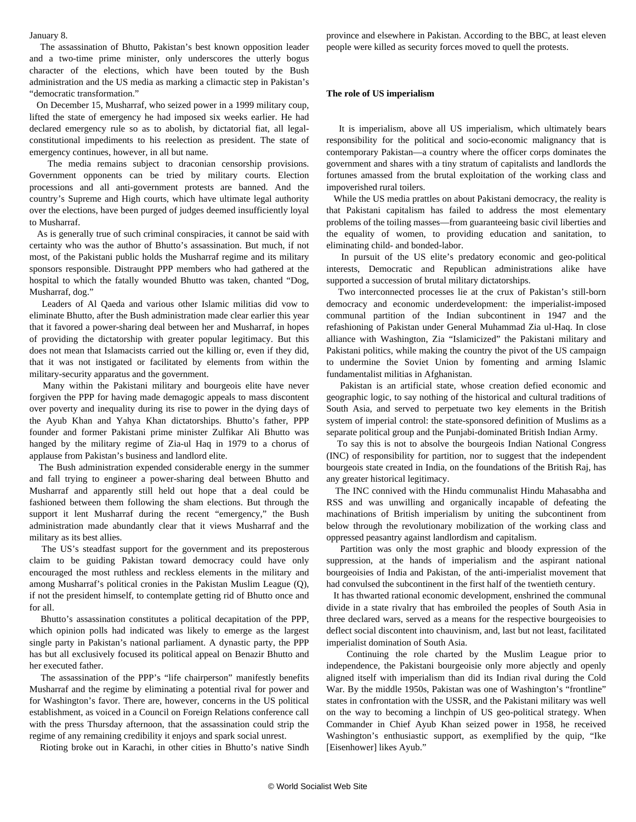January 8.

 The assassination of Bhutto, Pakistan's best known opposition leader and a two-time prime minister, only underscores the utterly bogus character of the elections, which have been touted by the Bush administration and the US media as marking a climactic step in Pakistan's "democratic transformation."

 On December 15, Musharraf, who seized power in a 1999 military coup, lifted the state of emergency he had imposed six weeks earlier. He had declared emergency rule so as to abolish, by dictatorial fiat, all legalconstitutional impediments to his reelection as president. The state of emergency continues, however, in all but name.

 The media remains subject to draconian censorship provisions. Government opponents can be tried by military courts. Election processions and all anti-government protests are banned. And the country's Supreme and High courts, which have ultimate legal authority over the elections, have been purged of judges deemed insufficiently loyal to Musharraf.

 As is generally true of such criminal conspiracies, it cannot be said with certainty who was the author of Bhutto's assassination. But much, if not most, of the Pakistani public holds the Musharraf regime and its military sponsors responsible. Distraught PPP members who had gathered at the hospital to which the fatally wounded Bhutto was taken, chanted "Dog, Musharraf, dog."

 Leaders of Al Qaeda and various other Islamic militias did vow to eliminate Bhutto, after the Bush administration made clear earlier this year that it favored a power-sharing deal between her and Musharraf, in hopes of providing the dictatorship with greater popular legitimacy. But this does not mean that Islamacists carried out the killing or, even if they did, that it was not instigated or facilitated by elements from within the military-security apparatus and the government.

 Many within the Pakistani military and bourgeois elite have never forgiven the PPP for having made demagogic appeals to mass discontent over poverty and inequality during its rise to power in the dying days of the Ayub Khan and Yahya Khan dictatorships. Bhutto's father, PPP founder and former Pakistani prime minister Zulfikar Ali Bhutto was hanged by the military regime of Zia-ul Haq in 1979 to a chorus of applause from Pakistan's business and landlord elite.

 The Bush administration expended considerable energy in the summer and fall trying to engineer a power-sharing deal between Bhutto and Musharraf and apparently still held out hope that a deal could be fashioned between them following the sham elections. But through the support it lent Musharraf during the recent "emergency," the Bush administration made abundantly clear that it views Musharraf and the military as its best allies.

 The US's steadfast support for the government and its preposterous claim to be guiding Pakistan toward democracy could have only encouraged the most ruthless and reckless elements in the military and among Musharraf's political cronies in the Pakistan Muslim League (Q), if not the president himself, to contemplate getting rid of Bhutto once and for all.

 Bhutto's assassination constitutes a political decapitation of the PPP, which opinion polls had indicated was likely to emerge as the largest single party in Pakistan's national parliament. A dynastic party, the PPP has but all exclusively focused its political appeal on Benazir Bhutto and her executed father.

 The assassination of the PPP's "life chairperson" manifestly benefits Musharraf and the regime by eliminating a potential rival for power and for Washington's favor. There are, however, concerns in the US political establishment, as voiced in a Council on Foreign Relations conference call with the press Thursday afternoon, that the assassination could strip the regime of any remaining credibility it enjoys and spark social unrest.

Rioting broke out in Karachi, in other cities in Bhutto's native Sindh

province and elsewhere in Pakistan. According to the BBC, at least eleven people were killed as security forces moved to quell the protests.

#### **The role of US imperialism**

 It is imperialism, above all US imperialism, which ultimately bears responsibility for the political and socio-economic malignancy that is contemporary Pakistan—a country where the officer corps dominates the government and shares with a tiny stratum of capitalists and landlords the fortunes amassed from the brutal exploitation of the working class and impoverished rural toilers.

 While the US media prattles on about Pakistani democracy, the reality is that Pakistani capitalism has failed to address the most elementary problems of the toiling masses—from guaranteeing basic civil liberties and the equality of women, to providing education and sanitation, to eliminating child- and bonded-labor.

 In pursuit of the US elite's predatory economic and geo-political interests, Democratic and Republican administrations alike have supported a succession of brutal military dictatorships.

 Two interconnected processes lie at the crux of Pakistan's still-born democracy and economic underdevelopment: the imperialist-imposed communal partition of the Indian subcontinent in 1947 and the refashioning of Pakistan under General Muhammad Zia ul-Haq. In close alliance with Washington, Zia "Islamicized" the Pakistani military and Pakistani politics, while making the country the pivot of the US campaign to undermine the Soviet Union by fomenting and arming Islamic fundamentalist militias in Afghanistan.

 Pakistan is an artificial state, whose creation defied economic and geographic logic, to say nothing of the historical and cultural traditions of South Asia, and served to perpetuate two key elements in the British system of imperial control: the state-sponsored definition of Muslims as a separate political group and the Punjabi-dominated British Indian Army.

 To say this is not to absolve the bourgeois Indian National Congress (INC) of responsibility for partition, nor to suggest that the independent bourgeois state created in India, on the foundations of the British Raj, has any greater historical legitimacy.

 The INC connived with the Hindu communalist Hindu Mahasabha and RSS and was unwilling and organically incapable of defeating the machinations of British imperialism by uniting the subcontinent from below through the revolutionary mobilization of the working class and oppressed peasantry against landlordism and capitalism.

 Partition was only the most graphic and bloody expression of the suppression, at the hands of imperialism and the aspirant national bourgeoisies of India and Pakistan, of the anti-imperialist movement that had convulsed the subcontinent in the first half of the twentieth century.

 It has thwarted rational economic development, enshrined the communal divide in a state rivalry that has embroiled the peoples of South Asia in three declared wars, served as a means for the respective bourgeoisies to deflect social discontent into chauvinism, and, last but not least, facilitated imperialist domination of South Asia.

 Continuing the role charted by the Muslim League prior to independence, the Pakistani bourgeoisie only more abjectly and openly aligned itself with imperialism than did its Indian rival during the Cold War. By the middle 1950s, Pakistan was one of Washington's "frontline" states in confrontation with the USSR, and the Pakistani military was well on the way to becoming a linchpin of US geo-political strategy. When Commander in Chief Ayub Khan seized power in 1958, he received Washington's enthusiastic support, as exemplified by the quip, "Ike [Eisenhower] likes Ayub."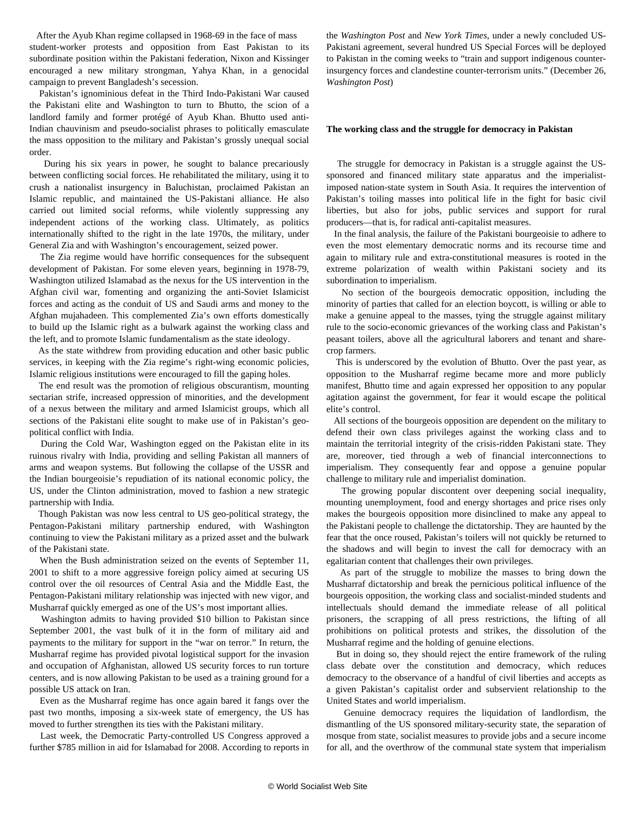After the Ayub Khan regime collapsed in 1968-69 in the face of mass student-worker protests and opposition from East Pakistan to its subordinate position within the Pakistani federation, Nixon and Kissinger encouraged a new military strongman, Yahya Khan, in a genocidal campaign to prevent Bangladesh's secession.

 Pakistan's ignominious defeat in the Third Indo-Pakistani War caused the Pakistani elite and Washington to turn to Bhutto, the scion of a landlord family and former protégé of Ayub Khan. Bhutto used anti-Indian chauvinism and pseudo-socialist phrases to politically emasculate the mass opposition to the military and Pakistan's grossly unequal social order.

 During his six years in power, he sought to balance precariously between conflicting social forces. He rehabilitated the military, using it to crush a nationalist insurgency in Baluchistan, proclaimed Pakistan an Islamic republic, and maintained the US-Pakistani alliance. He also carried out limited social reforms, while violently suppressing any independent actions of the working class. Ultimately, as politics internationally shifted to the right in the late 1970s, the military, under General Zia and with Washington's encouragement, seized power.

 The Zia regime would have horrific consequences for the subsequent development of Pakistan. For some eleven years, beginning in 1978-79, Washington utilized Islamabad as the nexus for the US intervention in the Afghan civil war, fomenting and organizing the anti-Soviet Islamicist forces and acting as the conduit of US and Saudi arms and money to the Afghan mujahadeen. This complemented Zia's own efforts domestically to build up the Islamic right as a bulwark against the working class and the left, and to promote Islamic fundamentalism as the state ideology.

 As the state withdrew from providing education and other basic public services, in keeping with the Zia regime's right-wing economic policies, Islamic religious institutions were encouraged to fill the gaping holes.

 The end result was the promotion of religious obscurantism, mounting sectarian strife, increased oppression of minorities, and the development of a nexus between the military and armed Islamicist groups, which all sections of the Pakistani elite sought to make use of in Pakistan's geopolitical conflict with India.

 During the Cold War, Washington egged on the Pakistan elite in its ruinous rivalry with India, providing and selling Pakistan all manners of arms and weapon systems. But following the collapse of the USSR and the Indian bourgeoisie's repudiation of its national economic policy, the US, under the Clinton administration, moved to fashion a new strategic partnership with India.

 Though Pakistan was now less central to US geo-political strategy, the Pentagon-Pakistani military partnership endured, with Washington continuing to view the Pakistani military as a prized asset and the bulwark of the Pakistani state.

 When the Bush administration seized on the events of September 11, 2001 to shift to a more aggressive foreign policy aimed at securing US control over the oil resources of Central Asia and the Middle East, the Pentagon-Pakistani military relationship was injected with new vigor, and Musharraf quickly emerged as one of the US's most important allies.

 Washington admits to having provided \$10 billion to Pakistan since September 2001, the vast bulk of it in the form of military aid and payments to the military for support in the "war on terror." In return, the Musharraf regime has provided pivotal logistical support for the invasion and occupation of Afghanistan, allowed US security forces to run torture centers, and is now allowing Pakistan to be used as a training ground for a possible US attack on Iran.

 Even as the Musharraf regime has once again bared it fangs over the past two months, imposing a six-week state of emergency, the US has moved to further strengthen its ties with the Pakistani military.

 Last week, the Democratic Party-controlled US Congress approved a further \$785 million in aid for Islamabad for 2008. According to reports in

the *Washington Post* and *New York Times*, under a newly concluded US-Pakistani agreement, several hundred US Special Forces will be deployed to Pakistan in the coming weeks to "train and support indigenous counterinsurgency forces and clandestine counter-terrorism units." (December 26, *Washington Post*)

#### **The working class and the struggle for democracy in Pakistan**

 The struggle for democracy in Pakistan is a struggle against the USsponsored and financed military state apparatus and the imperialistimposed nation-state system in South Asia. It requires the intervention of Pakistan's toiling masses into political life in the fight for basic civil liberties, but also for jobs, public services and support for rural producers—that is, for radical anti-capitalist measures.

 In the final analysis, the failure of the Pakistani bourgeoisie to adhere to even the most elementary democratic norms and its recourse time and again to military rule and extra-constitutional measures is rooted in the extreme polarization of wealth within Pakistani society and its subordination to imperialism.

 No section of the bourgeois democratic opposition, including the minority of parties that called for an election boycott, is willing or able to make a genuine appeal to the masses, tying the struggle against military rule to the socio-economic grievances of the working class and Pakistan's peasant toilers, above all the agricultural laborers and tenant and sharecrop farmers.

 This is underscored by the evolution of Bhutto. Over the past year, as opposition to the Musharraf regime became more and more publicly manifest, Bhutto time and again expressed her opposition to any popular agitation against the government, for fear it would escape the political elite's control.

 All sections of the bourgeois opposition are dependent on the military to defend their own class privileges against the working class and to maintain the territorial integrity of the crisis-ridden Pakistani state. They are, moreover, tied through a web of financial interconnections to imperialism. They consequently fear and oppose a genuine popular challenge to military rule and imperialist domination.

 The growing popular discontent over deepening social inequality, mounting unemployment, food and energy shortages and price rises only makes the bourgeois opposition more disinclined to make any appeal to the Pakistani people to challenge the dictatorship. They are haunted by the fear that the once roused, Pakistan's toilers will not quickly be returned to the shadows and will begin to invest the call for democracy with an egalitarian content that challenges their own privileges.

 As part of the struggle to mobilize the masses to bring down the Musharraf dictatorship and break the pernicious political influence of the bourgeois opposition, the working class and socialist-minded students and intellectuals should demand the immediate release of all political prisoners, the scrapping of all press restrictions, the lifting of all prohibitions on political protests and strikes, the dissolution of the Musharraf regime and the holding of genuine elections.

 But in doing so, they should reject the entire framework of the ruling class debate over the constitution and democracy, which reduces democracy to the observance of a handful of civil liberties and accepts as a given Pakistan's capitalist order and subservient relationship to the United States and world imperialism.

 Genuine democracy requires the liquidation of landlordism, the dismantling of the US sponsored military-security state, the separation of mosque from state, socialist measures to provide jobs and a secure income for all, and the overthrow of the communal state system that imperialism